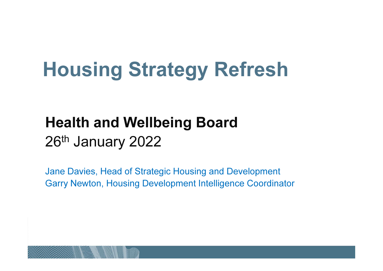# Housing Strategy Refresh

## Health and Wellbeing Board26<sup>th</sup> January 2022

Jane Davies, Head of Strategic Housing and DevelopmentGarry Newton, Housing Development Intelligence Coordinator

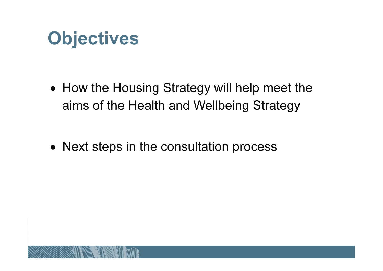# **Objectives**

- How the Housing Strategy will help meet the aims of the Health and Wellbeing Strategy
- Next steps in the consultation process

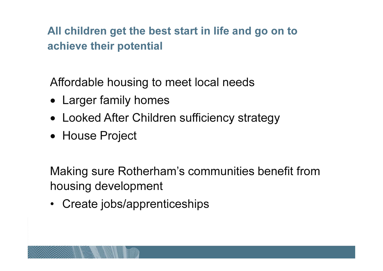All children get the best start in life and go on to achieve their potential

Affordable housing to meet local needs

- Larger family homes
- Looked After Children sufficiency strategy
- House Project

Making sure Rotherham's communities benefit from housing development

• Create jobs/apprenticeships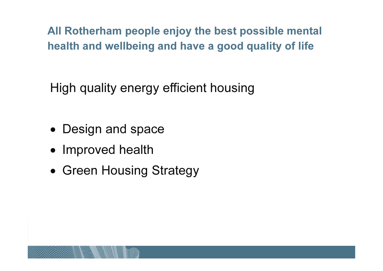All Rotherham people enjoy the best possible mentalhealth and wellbeing and have a good quality of life

High quality energy efficient housing

- Design and space
- Improved health
- Green Housing Strategy

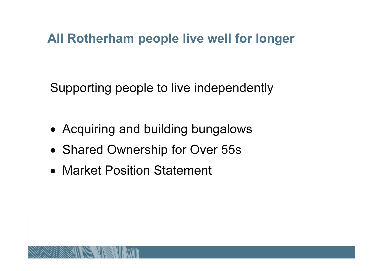#### All Rotherham people live well for longer

Supporting people to live independently

- Acquiring and building bungalows
- Shared Ownership for Over 55s
- Market Position Statement

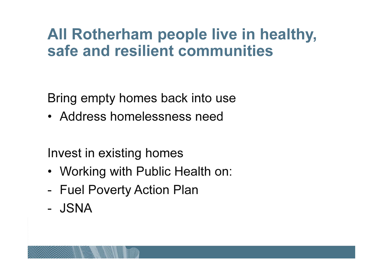### All Rotherham people live in healthy, safe and resilient communities

Bring empty homes back into use

• Address homelessness need

Invest in existing homes

- Working with Public Health on:
- Fuel Poverty Action Plan
- JSNA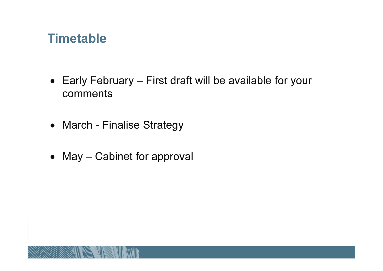#### **Timetable**

- Early February First draft will be available for your comments
- March Finalise Strategy
- May Cabinet for approval